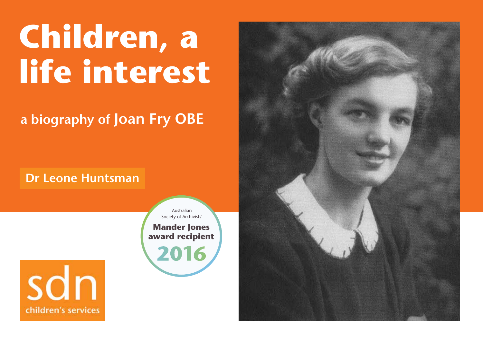# **Children, a life interest**

**a biography of Joan Fry OBE**

### **Dr Leone Huntsman**





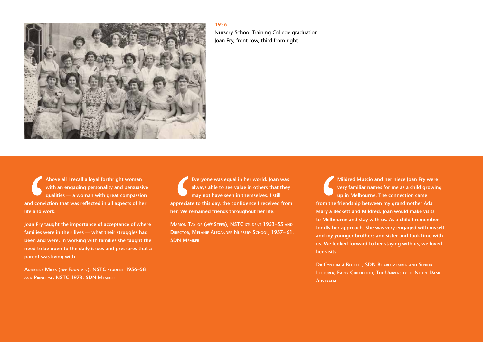

Nursery School Training College graduation. Joan Fry, front row, third from right

A<br>
A<br>
w<br>
and convide<br>
life and w<br>
Joan Fry ta<br>
been and w<br>
med to be **Above all I recall a loyal forthright woman with an engaging personality and persuasive qualities — a woman with great compassion and conviction that was reflected in all aspects of her life and work.**

**Joan Fry taught the importance of acceptance of where families were in their lives — what their struggles had been and were. In working with families she taught the need to be open to the daily issues and pressures that a parent was living with.** 

**Adrienne Miles (***née* **Fountain), NSTC student 1956–58 and Principal, NSTC 1973. SDN Member**

E<br>
a<br>
appreciate<br>
her. We re<br>
MARION TA<br>
DIRECTOR, N<br>
SDN MEMI **Everyone was equal in her world. Joan was always able to see value in others that they may not have seen in themselves. I still appreciate to this day, the confidence I received from her. We remained friends throughout her life.** 

**Marion Taylor (***née* **Steer), NSTC student 1953–55 and Director, Melanie Alexander Nursery School, 1957– 61. SDN Member**

N<br>
from the f<br>
Mary à Be<br>
to Melbou<br>
fondly her<br>
and my yous. We loo **Mildred Muscio and her niece Joan Fry were very familiar names for me as a child growing up in Melbourne. The connection came from the friendship between my grandmother Ada Mary à Beckett and Mildred. Joan would make visits to Melbourne and stay with us. As a child I remember fondly her approach. She was very engaged with myself and my younger brothers and sister and took time with us. We looked forward to her staying with us, we loved her visits.** 

**Dr Cynthia à Beckett, SDN Board member and Senior Lecturer, Early Childhood, The University of Notre Dame Australia**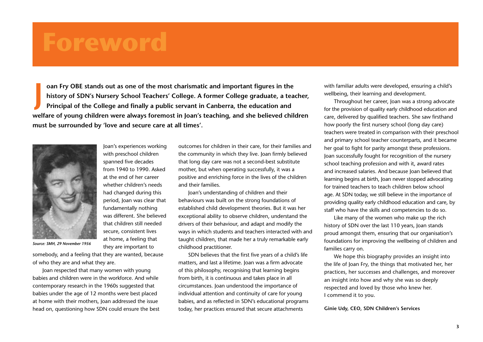## **Foreword**

**oan Fry OBE stands out as one of the most charismatic and important figures in the history of SDN's Nursery School Teachers' College. A former College graduate, a teacher, Principal of the College and finally a public servant in Canberra, the education and welfare of young children were always foremost in Joan's teaching, and she believed children must be surrounded by 'love and secure care at all times'. J**



Joan's experiences working with preschool children spanned five decades from 1940 to 1990. Asked at the end of her career whether children's needs had changed during this period, Joan was clear that fundamentally nothing was different. She believed that children still needed secure, consistent lives at home, a feeling that they are important to

*Source: SMH, 29 November 1956*

somebody, and a feeling that they are wanted, because of who they are and what they are.

Joan respected that many women with young babies and children were in the workforce. And while contemporary research in the 1960s suggested that babies under the age of 12 months were best placed at home with their mothers, Joan addressed the issue head on, questioning how SDN could ensure the best outcomes for children in their care, for their families and the community in which they live. Joan firmly believed that long day care was not a second-best substitute mother, but when operating successfully, it was a positive and enriching force in the lives of the children and their families.

Joan's understanding of children and their behaviours was built on the strong foundations of established child development theories. But it was her exceptional ability to observe children, understand the drivers of their behaviour, and adapt and modify the ways in which students and teachers interacted with and taught children, that made her a truly remarkable early childhood practitioner.

SDN believes that the first five years of a child's life matters, and last a lifetime. Joan was a firm advocate of this philosophy, recognising that learning begins from birth, it is continuous and takes place in all circumstances. Joan understood the importance of individual attention and continuity of care for young babies, and as reflected in SDN's educational programs today, her practices ensured that secure attachments

with familiar adults were developed, ensuring a child's wellbeing, their learning and development.

Throughout her career, Joan was a strong advocate for the provision of quality early childhood education and care, delivered by qualified teachers. She saw firsthand how poorly the first nursery school (long day care) teachers were treated in comparison with their preschool and primary school teacher counterparts, and it became her goal to fight for parity amongst these professions. Joan successfully fought for recognition of the nursery school teaching profession and with it, award rates and increased salaries. And because Joan believed that learning begins at birth, Joan never stopped advocating for trained teachers to teach children below school age. At SDN today, we still believe in the importance of providing quality early childhood education and care, by staff who have the skills and competencies to do so.

Like many of the women who make up the rich history of SDN over the last 110 years, Joan stands proud amongst them, ensuring that our organisation's foundations for improving the wellbeing of children and families carry on.

We hope this biography provides an insight into the life of Joan Fry, the things that motivated her, her practices, her successes and challenges, and moreover an insight into how and why she was so deeply respected and loved by those who knew her. I commend it to you.

**Ginie Udy, CEO, SDN Children's Services**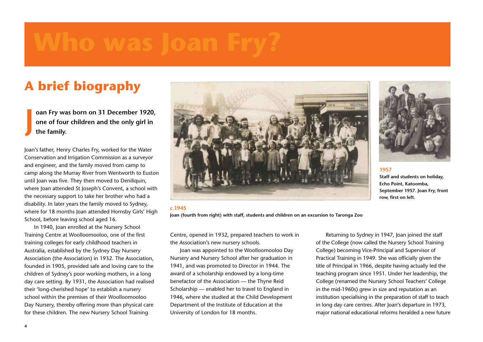## **A brief biography**

**oan Fry was born on 31 December 1920, one of four children and the only girl in the family. J**

Joan's father, Henry Charles Fry, worked for the Water Conservation and Irrigation Commission as a surveyor and engineer, and the family moved from camp to camp along the Murray River from Wentworth to Euston until Joan was five. They then moved to Deniliquin, where Joan attended St Joseph's Convent, a school with the necessary support to take her brother who had a disability. In later years the family moved to Sydney, where for 18 months Joan attended Hornsby Girls' High School, before leaving school aged 16.

In 1940, Joan enrolled at the Nursery School Training Centre at Woolloomooloo, one of the first training colleges for early childhood teachers in Australia, established by the Sydney Day Nursery Association (the Association) in 1932. The Association, founded in 1905, provided safe and loving care to the children of Sydney's poor working mothers, in a long day care setting. By 1931, the Association had realised their 'long-cherished hope' to establish a nursery school within the premises of their Woolloomooloo Day Nursery, thereby offering more than physical care for these children. The new Nursery School Training



**c.1945**

**Joan (fourth from right) with staff, students and children on an excursion to Taronga Zoo**

Centre, opened in 1932, prepared teachers to work in the Association's new nursery schools.

Joan was appointed to the Woolloomooloo Day Nursery and Nursery School after her graduation in 1941, and was promoted to Director in 1944. The award of a scholarship endowed by a long-time benefactor of the Association — the Thyne Reid Scholarship — enabled her to travel to England in 1946, where she studied at the Child Development Department of the Institute of Education at the University of London for 18 months.

Returning to Sydney in 1947, Joan joined the staff of the College (now called the Nursery School Training College) becoming Vice-Principal and Supervisor of Practical Training in 1949. She was officially given the title of Principal in 1966, despite having actually led the teaching program since 1951. Under her leadership, the College (renamed the Nursery School Teachers' College in the mid-1960s) grew in size and reputation as an institution specialising in the preparation of staff to teach in long day care centres. After Joan's departure in 1973, major national educational reforms heralded a new future



**1957**

**Staff and students on holiday, Echo Point, Katoomba, September 1957. Joan Fry, front row, first on left.**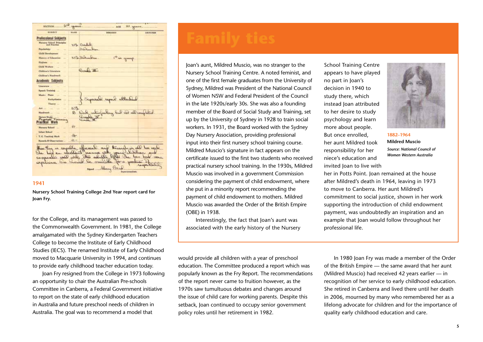

**Nursery School Training College 2nd Year report card for Joan Fry.**

for the College, and its management was passed to the Commonwealth Government. In 1981, the College amalgamated with the Sydney Kindergarten Teachers College to become the Institute of Early Childhood Studies (IECS). The renamed Institute of Early Childhood moved to Macquarie University in 1994, and continues to provide early childhood teacher education today.

Joan Fry resigned from the College in 1973 following an opportunity to chair the Australian Pre-schools Committee in Canberra, a Federal Government initiative to report on the state of early childhood education in Australia and future preschool needs of children in Australia. The goal was to recommend a model that

Joan's aunt, Mildred Muscio, was no stranger to the Nursery School Training Centre. A noted feminist, and one of the first female graduates from the University of Sydney, Mildred was President of the National Council of Women NSW and Federal President of the Council in the late 1920s/early 30s. She was also a founding member of the Board of Social Study and Training, set up by the University of Sydney in 1928 to train social workers. In 1931, the Board worked with the Sydney Day Nursery Association, providing professional input into their first nursery school training course. Mildred Muscio's signature in fact appears on the certificate issued to the first two students who received practical nursery school training. In the 1930s, Mildred Muscio was involved in a government Commission considering the payment of child endowment, where she put in a minority report recommending the payment of child endowment to mothers. Mildred Muscio was awarded the Order of the British Empire (OBE) in 1938.

Interestingly, the fact that Joan's aunt was associated with the early history of the Nursery School Training Centre appears to have played no part in Joan's decision in 1940 to study there, which instead Joan attributed to her desire to study psychology and learn more about people. But once enrolled, her aunt Mildred took responsibility for her niece's education and invited Joan to live with



**1882–1964 Mildred Muscio**  *Source: National Council of Women Western Australia*

her in Potts Point. Joan remained at the house after Mildred's death in 1964, leaving in 1973 to move to Canberra. Her aunt Mildred's commitment to social justice, shown in her work supporting the introduction of child endowment payment, was undoubtedly an inspiration and an example that Joan would follow throughout her professional life.

would provide all children with a year of preschool education. The Committee produced a report which was popularly known as the Fry Report. The recommendations of the report never came to fruition however, as the 1970s saw tumultuous debates and changes around the issue of child care for working parents. Despite this setback, Joan continued to occupy senior government policy roles until her retirement in 1982.

In 1980 Joan Fry was made a member of the Order of the British Empire — the same award that her aunt (Mildred Muscio) had received 42 years earlier — in recognition of her service to early childhood education. She retired in Canberra and lived there until her death in 2006, mourned by many who remembered her as a lifelong advocate for children and for the importance of quality early childhood education and care.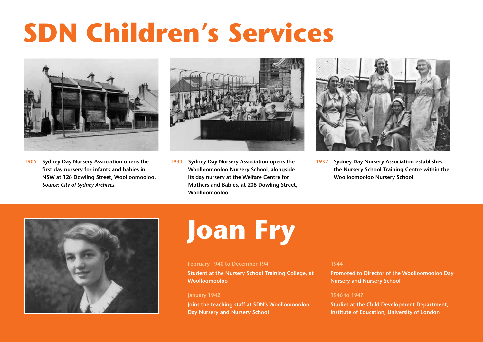# **SDN Children's Services**



**1905 Sydney Day Nursery Association opens the first day nursery for infants and babies in NSW at 126 Dowling Street, Woolloomooloo.**  *Source: City of Sydney Archives.*



**1931 Sydney Day Nursery Association opens the Woolloomooloo Nursery School, alongside its day nursery at the Welfare Centre for Mothers and Babies, at 208 Dowling Street, Woolloomooloo**



**1932 Sydney Day Nursery Association establishes the Nursery School Training Centre within the Woolloomooloo Nursery School**



# **Joan Fry**

#### **February 1940 to December 1941**

#### **Student at the Nursery School Training College, at Woolloomooloo**

#### **January 1942**

**Joins the teaching staff at SDN's Woolloomooloo Day Nursery and Nursery School**

#### **1944**

**Promoted to Director of the Woolloomooloo Day Nursery and Nursery School**

#### **1946 to 1947**

**Studies at the Child Development Department, Institute of Education, University of London**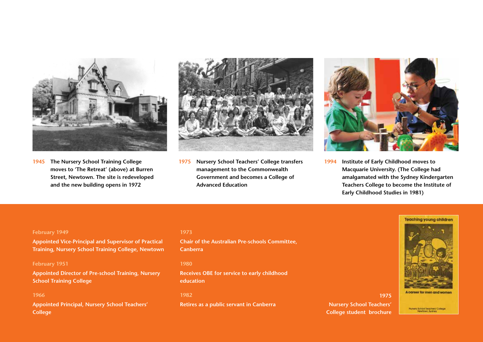

**1945 The Nursery School Training College moves to 'The Retreat' (above) at Burren Street, Newtown. The site is redeveloped and the new building opens in 1972**



**1975 Nursery School Teachers' College transfers management to the Commonwealth Government and becomes a College of Advanced Education**



**1994 Institute of Early Childhood moves to Macquarie University. (The College had amalgamated with the Sydney Kindergarten Teachers College to become the Institute of Early Childhood Studies in 1981)**

#### **February 1949**

**Appointed Vice-Principal and Supervisor of Practical Training, Nursery School Training College, Newtown**

#### **February 1951**

**Appointed Director of Pre-school Training, Nursery School Training College**

#### **1966**

**Appointed Principal, Nursery School Teachers' College**

#### **1973**

**Chair of the Australian Pre-schools Committee, Canberra**

#### **1980**

**Receives OBE for service to early childhood education**

#### **1982**

**Retires as a public servant in Canberra**





Numery School Teachers' College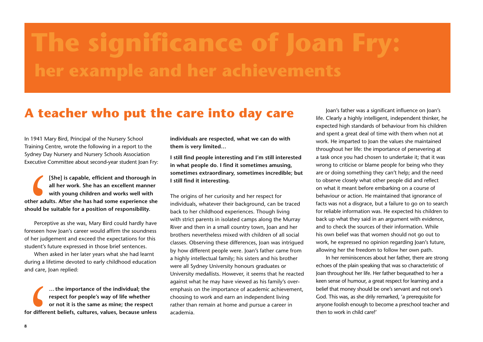## **The significance of Joan Fry: her example and her achievements**

## **A teacher who put the care into day care**

In 1941 Mary Bird, Principal of the Nursery School Training Centre, wrote the following in a report to the Sydney Day Nursery and Nursery Schools Association Executive Committee about second-year student Joan Fry:

I **[She] is capable, efficient and thorough in all her work. She has an excellent manner with young children and works well with other adults. After she has had some experience she should be suitable for a position of responsibility.**

Perceptive as she was, Mary Bird could hardly have foreseen how Joan's career would affirm the soundness of her judgement and exceed the expectations for this student's future expressed in those brief sentences.

When asked in her later years what she had learnt during a lifetime devoted to early childhood education and care, Joan replied:

for different **… the importance of the individual; the respect for people's way of life whether or not it is the same as mine; the respect for different beliefs, cultures, values, because unless** 

**individuals are respected, what we can do with them is very limited…**

**I still find people interesting and I'm still interested in what people do. I find it sometimes amusing, sometimes extraordinary, sometimes incredible; but I still find it interesting.** 

The origins of her curiosity and her respect for individuals, whatever their background, can be traced back to her childhood experiences. Though living with strict parents in isolated camps along the Murray River and then in a small country town, Joan and her brothers nevertheless mixed with children of all social classes. Observing these differences, Joan was intrigued by how different people were. Joan's father came from a highly intellectual family; his sisters and his brother were all Sydney University honours graduates or University medallists. However, it seems that he reacted against what he may have viewed as his family's overemphasis on the importance of academic achievement, choosing to work and earn an independent living rather than remain at home and pursue a career in academia.

Joan's father was a significant influence on Joan's life. Clearly a highly intelligent, independent thinker, he expected high standards of behaviour from his children and spent a great deal of time with them when not at work. He imparted to Joan the values she maintained throughout her life: the importance of persevering at a task once you had chosen to undertake it; that it was wrong to criticise or blame people for being who they are or doing something they can't help; and the need to observe closely what other people did and reflect on what it meant before embarking on a course of behaviour or action. He maintained that ignorance of facts was not a disgrace, but a failure to go on to search for reliable information was. He expected his children to back up what they said in an argument with evidence, and to check the sources of their information. While his own belief was that women should not go out to work, he expressed no opinion regarding Joan's future, allowing her the freedom to follow her own path.

In her reminiscences about her father, there are strong echoes of the plain speaking that was so characteristic of Joan throughout her life. Her father bequeathed to her a keen sense of humour, a great respect for learning and a belief that money should be one's servant and not one's God. This was, as she drily remarked, 'a prerequisite for anyone foolish enough to become a preschool teacher and then to work in child care!'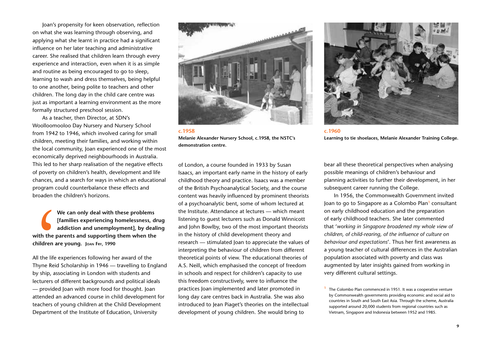Joan's propensity for keen observation, reflection on what she was learning through observing, and applying what she learnt in practice had a significant influence on her later teaching and administrative career. She realised that children learn through every experience and interaction, even when it is as simple and routine as being encouraged to go to sleep, learning to wash and dress themselves, being helpful to one another, being polite to teachers and other children. The long day in the child care centre was just as important a learning environment as the more formally structured preschool session.

As a teacher, then Director, at SDN's Woolloomooloo Day Nursery and Nursery School from 1942 to 1946, which involved caring for small children, meeting their families, and working within the local community, Joan experienced one of the most economically deprived neighbourhoods in Australia. This led to her sharp realisation of the negative effects of poverty on children's health, development and life chances, and a search for ways in which an educational program could counterbalance these effects and broaden the children's horizons.

<sup>1</sup><br>
with the p<br>
children an<br>
All the life of<br>
Thyne Reid<br>
by ship, ass<br>
lecturers of **We can only deal with these problems [families experiencing homelessness, drug addiction and unemployment], by dealing with the parents and supporting them when the children are young. Joan Fry, 1990**

All the life experiences following her award of the Thyne Reid Scholarship in 1946 — travelling to England by ship, associating in London with students and lecturers of different backgrounds and political ideals — provided Joan with more food for thought. Joan attended an advanced course in child development for teachers of young children at the Child Development Department of the Institute of Education, University



**Melanie Alexander Nursery School, c.1958, the NSTC's demonstration centre.** 

of London, a course founded in 1933 by Susan Isaacs, an important early name in the history of early childhood theory and practice. Isaacs was a member of the British Psychoanalytical Society, and the course content was heavily influenced by prominent theorists of a psychoanalytic bent, some of whom lectured at the Institute. Attendance at lectures — which meant listening to guest lecturers such as Donald Winnicott and John Bowlby, two of the most important theorists in the history of child development theory and research — stimulated Joan to appreciate the values of interpreting the behaviour of children from different theoretical points of view. The educational theories of A.S. Neill, which emphasised the concept of freedom in schools and respect for children's capacity to use this freedom constructively, were to influence the practices Joan implemented and later promoted in long day care centres back in Australia. She was also introduced to Jean Piaget's theories on the intellectual development of young children. She would bring to



**c.1960 Learning to tie shoelaces, Melanie Alexander Training College.**

bear all these theoretical perspectives when analysing possible meanings of children's behaviour and planning activities to further their development, in her subsequent career running the College.

In 1956, the Commonwealth Government invited Joan to go to Singapore as a Colombo Plan**<sup>1</sup>** consultant on early childhood education and the preparation of early childhood teachers. She later commented that '*working in Singapore broadened my whole view of children, of child-rearing, of the influence of culture on behaviour and expectations*'. Thus her first awareness as a young teacher of cultural differences in the Australian population associated with poverty and class was augmented by later insights gained from working in very different cultural settings.

**<sup>1</sup>** The Colombo Plan commenced in 1951. It was a cooperative venture by Commonwealth governments providing economic and social aid to countries in South and South East Asia. Through the scheme, Australia supported around 20,000 students from regional countries such as Vietnam, Singapore and Indonesia between 1952 and 1985.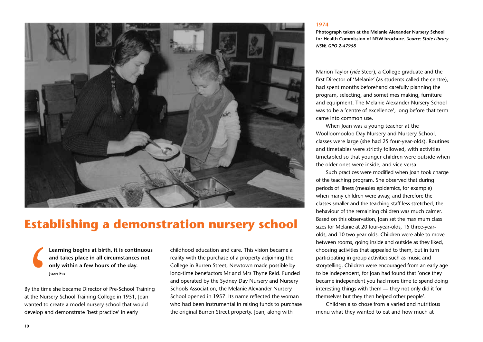

### **Establishing a demonstration nursery school**

**Learning begins at birth, it is continuous and takes place in all circumstances not only within a few hours of the day. Joan Fry**

<sup>1</sup> By the time she became Director of Pre-School Training at the Nursery School Training College in 1951, Joan wanted to create a model nursery school that would develop and demonstrate 'best practice' in early

childhood education and care. This vision became a reality with the purchase of a property adjoining the College in Burren Street, Newtown made possible by long-time benefactors Mr and Mrs Thyne Reid. Funded and operated by the Sydney Day Nursery and Nursery Schools Association, the Melanie Alexander Nursery School opened in 1957. Its name reflected the woman who had been instrumental in raising funds to purchase the original Burren Street property. Joan, along with

#### **1974**

**Photograph taken at the Melanie Alexander Nursery School for Health Commission of NSW brochure.** *Source: State Library NSW, GPO 2-47958*

Marion Taylor (*née* Steer), a College graduate and the first Director of 'Melanie' (as students called the centre), had spent months beforehand carefully planning the program, selecting, and sometimes making, furniture and equipment. The Melanie Alexander Nursery School was to be a 'centre of excellence', long before that term came into common use.

When Joan was a young teacher at the Woolloomooloo Day Nursery and Nursery School, classes were large (she had 25 four-year-olds). Routines and timetables were strictly followed, with activities timetabled so that younger children were outside when the older ones were inside, and vice versa.

Such practices were modified when Joan took charge of the teaching program. She observed that during periods of illness (measles epidemics, for example) when many children were away, and therefore the classes smaller and the teaching staff less stretched, the behaviour of the remaining children was much calmer. Based on this observation, Joan set the maximum class sizes for Melanie at 20 four-year-olds, 15 three-yearolds, and 10 two-year-olds. Children were able to move between rooms, going inside and outside as they liked, choosing activities that appealed to them, but in turn participating in group activities such as music and storytelling. Children were encouraged from an early age to be independent, for Joan had found that 'once they became independent you had more time to spend doing interesting things with them — they not only did it for themselves but they then helped other people'.

Children also chose from a varied and nutritious menu what they wanted to eat and how much at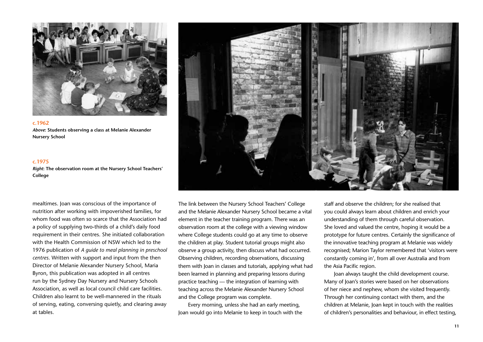

**c.1962** *Above***: Students observing a class at Melanie Alexander Nursery School**

#### **c.1975**

*Right***: The observation room at the Nursery School Teachers' College**

mealtimes. Joan was conscious of the importance of nutrition after working with impoverished families, for whom food was often so scarce that the Association had a policy of supplying two-thirds of a child's daily food requirement in their centres. She initiated collaboration with the Health Commission of NSW which led to the 1976 publication of *A guide to meal planning in preschool centres*. Written with support and input from the then Director of Melanie Alexander Nursery School, Maria Byron, this publication was adopted in all centres run by the Sydney Day Nursery and Nursery Schools Association, as well as local council child care facilities. Children also learnt to be well-mannered in the rituals of serving, eating, conversing quietly, and clearing away at tables.



The link between the Nursery School Teachers' College and the Melanie Alexander Nursery School became a vital element in the teacher training program. There was an observation room at the college with a viewing window where College students could go at any time to observe the children at play. Student tutorial groups might also observe a group activity, then discuss what had occurred. Observing children, recording observations, discussing them with Joan in classes and tutorials, applying what had been learned in planning and preparing lessons during practice teaching — the integration of learning with teaching across the Melanie Alexander Nursery School and the College program was complete.

Every morning, unless she had an early meeting, Joan would go into Melanie to keep in touch with the

staff and observe the children; for she realised that you could always learn about children and enrich your understanding of them through careful observation. She loved and valued the centre, hoping it would be a prototype for future centres. Certainly the significance of the innovative teaching program at Melanie was widely recognised; Marion Taylor remembered that 'visitors were constantly coming in', from all over Australia and from the Asia Pacific region.

Joan always taught the child development course. Many of Joan's stories were based on her observations of her niece and nephew, whom she visited frequently. Through her continuing contact with them, and the children at Melanie, Joan kept in touch with the realities of children's personalities and behaviour, in effect testing,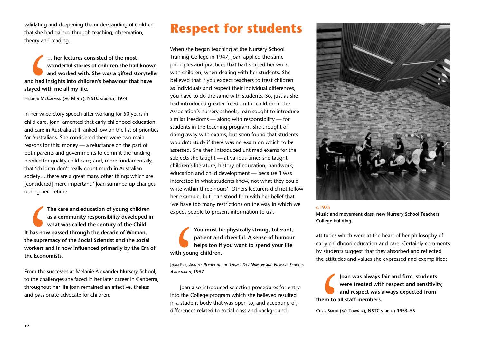validating and deepening the understanding of children that she had gained through teaching, observation, theory and reading.

W<br>
and had in<br>
stayed with<br>
HEATHER McC,<br>
In her valed<br>
child care, J<br>
and care in **… her lectures consisted of the most wonderful stories of children she had known and worked with. She was a gifted storyteller and had insights into children's behaviour that have stayed with me all my life.** 

**Heather McCalman (***née* **Minty), NSTC student, 1974**

In her valedictory speech after working for 50 years in child care, Joan lamented that early childhood education and care in Australia still ranked low on the list of priorities for Australians. She considered there were two main reasons for this: money — a reluctance on the part of both parents and governments to commit the funding needed for quality child care; and, more fundamentally, that 'children don't really count much in Australian society… there are a great many other things which are [considered] more important.' Joan summed up changes during her lifetime:

The assumed the supplement of the supplement of the supplement of the substitution of the chall of the chall of the chall of the chall of the chall of the chall of the chall of the chall of the chall of the chall of the ch **The care and education of young children as a community responsibility developed in what was called the century of the Child. It has now passed through the decade of Woman, the supremacy of the Social Scientist and the social workers and is now influenced primarily by the Era of the Economists.**

From the successes at Melanie Alexander Nursery School, to the challenges she faced in her later career in Canberra, throughout her life Joan remained an effective, tireless and passionate advocate for children.

## **Respect for students**

When she began teaching at the Nursery School Training College in 1947, Joan applied the same principles and practices that had shaped her work with children, when dealing with her students. She believed that if you expect teachers to treat children as individuals and respect their individual differences, you have to do the same with students. So, just as she had introduced greater freedom for children in the Association's nursery schools, Joan sought to introduce similar freedoms — along with responsibility — for students in the teaching program. She thought of doing away with exams, but soon found that students wouldn't study if there was no exam on which to be assessed. She then introduced untimed exams for the subjects she taught — at various times she taught children's literature, history of education, handwork, education and child development — because 'I was interested in what students knew, not what they could write within three hours'. Others lecturers did not follow her example, but Joan stood firm with her belief that 'we have too many restrictions on the way in which we expect people to present information to us'.

<sup>Y</sup><br>
P<br>
with young<br>
Joan Fry, ANN<br>
Association, 19<br>
Joan als<br>
into the Co<br>
in a studen **You must be physically strong, tolerant, patient and cheerful. A sense of humour helps too if you want to spend your life with young children.**

**Joan Fry***, Annual Report of the Sydney Day Nursery and Nursery Schools Association,* **1967**

Joan also introduced selection procedures for entry into the College program which she believed resulted in a student body that was open to, and accepting of, differences related to social class and background —



#### **c.1975**

**Music and movement class, new Nursery School Teachers' College building**

attitudes which were at the heart of her philosophy of early childhood education and care. Certainly comments by students suggest that they absorbed and reflected the attitudes and values she expressed and exemplified:

I **Joan was always fair and firm, students were treated with respect and sensitivity, and respect was always expected from them to all staff members.** 

**Chris Smith (***née* **Towner), NSTC student 1953–55**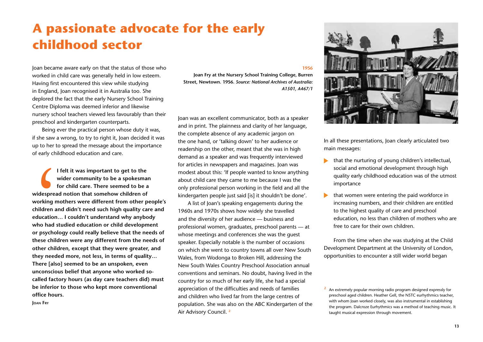## **A passionate advocate for the early childhood sector**

Joan became aware early on that the status of those who worked in child care was generally held in low esteem. Having first encountered this view while studying in England, Joan recognised it in Australia too. She deplored the fact that the early Nursery School Training Centre Diploma was deemed inferior and likewise nursery school teachers viewed less favourably than their preschool and kindergarten counterparts.

Being ever the practical person whose duty it was, if she saw a wrong, to try to right it, Joan decided it was up to her to spread the message about the importance of early childhood education and care.

<sup>1</sup><br>
widesprea<br>
working m<br>
children an<br>
education.<br>
who had s<br>
or psychol<br>
these child **I felt it was important to get to the wider community to be a spokesman for child care. There seemed to be a widespread notion that somehow children of working mothers were different from other people's children and didn't need such high quality care and education… I couldn't understand why anybody who had studied education or child development or psychology could really believe that the needs of these children were any different from the needs of other children, except that they were greater, and they needed more, not less, in terms of quality… There [also] seemed to be an unspoken, even unconscious belief that anyone who worked socalled factory hours (as day care teachers did) must be inferior to those who kept more conventional office hours.** 

**Joan Fry**

#### **1956**

**Joan Fry at the Nursery School Training College, Burren Street, Newtown. 1956.** *Source: National Archives of Australia: A1501, A467/1*

Joan was an excellent communicator, both as a speaker and in print. The plainness and clarity of her language, the complete absence of any academic jargon on the one hand, or 'talking down' to her audience or readership on the other, meant that she was in high demand as a speaker and was frequently interviewed for articles in newspapers and magazines. Joan was modest about this: 'If people wanted to know anything about child care they came to me because I was the only professional person working in the field and all the kindergarten people just said [is] it shouldn't be done'.

A list of Joan's speaking engagements during the 1960s and 1970s shows how widely she travelled and the diversity of her audience — business and professional women, graduates, preschool parents — at whose meetings and conferences she was the guest speaker. Especially notable is the number of occasions on which she went to country towns all over New South Wales, from Wodonga to Broken Hill, addressing the New South Wales Country Preschool Association annual conventions and seminars. No doubt, having lived in the country for so much of her early life, she had a special appreciation of the difficulties and needs of families and children who lived far from the large centres of population. She was also on the ABC Kindergarten of the Air Advisory Council. **<sup>2</sup>**



In all these presentations, Joan clearly articulated two main messages:

- that the nurturing of young children's intellectual, social and emotional development through high quality early childhood education was of the utmost importance
- that women were entering the paid workforce in ▶ increasing numbers, and their children are entitled to the highest quality of care and preschool education, no less than children of mothers who are free to care for their own children.

From the time when she was studying at the Child Development Department at the University of London, opportunities to encounter a still wider world began

**<sup>2</sup>** An extremely popular morning radio program designed expressly for preschool aged children. Heather Gell, the NSTC eurhythmics teacher, with whom Joan worked closely, was also instrumental in establishing the program. Dalcroze Eurhythmics was a method of teaching music. It taught musical expression through movement.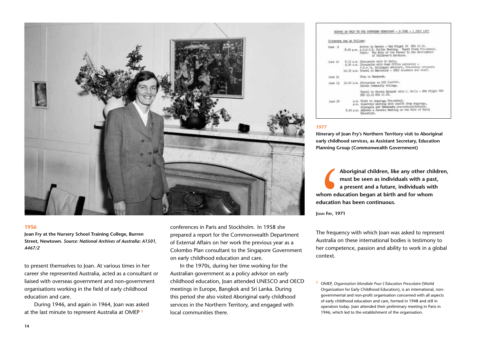

**Joan Fry at the Nursery School Training College, Burren Street, Newtown.** *Source: National Archives of Australia: A1501, A467/2*

to present themselves to Joan. At various times in her career she represented Australia, acted as a consultant or liaised with overseas government and non-government organisations working in the field of early childhood education and care.

During 1946, and again in 1964, Joan was asked at the last minute to represent Australia at OMEP **<sup>3</sup>**

conferences in Paris and Stockholm. In 1958 she prepared a report for the Commonwealth Department of External Affairs on her work the previous year as a Colombo Plan consultant to the Singapore Government on early childhood education and care.

In the 1970s, during her time working for the Australian government as a policy advisor on early childhood education, Joan attended UNESCO and OECD meetings in Europe, Bangkok and Sri Lanka. During this period she also visited Aboriginal early childhood services in the Northern Territory, and engaged with local communities there.

|          |  | tinerary was as follows: |                                                                                                                                                                                                            |
|----------|--|--------------------------|------------------------------------------------------------------------------------------------------------------------------------------------------------------------------------------------------------|
| lune 9   |  |                          | Arrive in Darwin - TAA Flight 24 HTA 14.50.<br>5.00 p.m. A.A.E.C.E. Public Neeting. Rapid Creek Pre-school.<br>Topic: The Role of the Parent in the Development<br>of Children's Services.                 |
| Turse 10 |  |                          | 8.30 a.m. Discussion with Dr Bedle.<br>9.00 a.m. Discussion with Head Office personnel -<br>P.E.A.'s, Billegal Advisers, Pre-chhool Advisers.<br>10.30 a.m. Travel to Batchelor - ATEC students and staff. |
|          |  |                          |                                                                                                                                                                                                            |
| June 11  |  |                          | Trip to Nandorah.                                                                                                                                                                                          |
|          |  |                          | June 13 10.00 a.m. Discussion re BIE Courses,<br>Darwin Community College.                                                                                                                                 |
|          |  |                          | Travel to Groote Eylandt with L. Wills - MOL Flight 484<br>ED 15.15 EDA 17.20.                                                                                                                             |
| June 19  |  |                          | a.m. Visit to Angunuga Pre-school.<br>p.m. Inservice meeting with staffs from Angurugu,<br>Alyangala and Usbakasha pre-schools/schools.                                                                    |
|          |  |                          | 8.00 p.m. Address a Parents Meeting on the Role of Harly<br>Education.                                                                                                                                     |

#### **1977**

**Itinerary of Joan Fry's Northern Territory visit to Aboriginal early childhood services, as Assistant Secretary, Education Planning Group (Commonwealth Government)**

A<br>
n<br>
whom edu<br>
education<br>
Joan Fry, 197<br>
The frequency<br>
Australia or<br>
her compate **Aboriginal children, like any other children, must be seen as individuals with a past, a present and a future, individuals with whom education began at birth and for whom education has been continuous.**

**Joan Fry, 1971**

The frequency with which Joan was asked to represent Australia on these international bodies is testimony to her competence, passion and ability to work in a global context.

**<sup>3</sup>** OMEP, *Organisation Mondiale Pour L'Education Prescolaire* (World Organization for Early Childhood Education), is an international, nongovernmental and non-profit organisation concerned with all aspects of early childhood education and care, formed in 1948 and still in operation today. Joan attended their preliminary meeting in Paris in 1946, which led to the establishment of the organisation.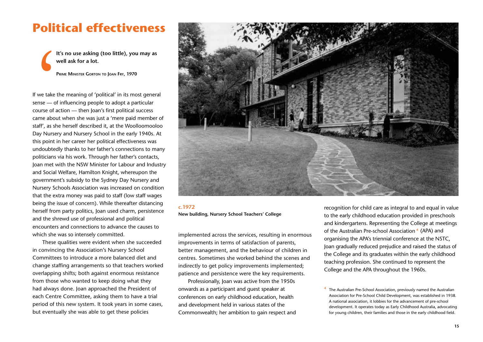### **Political effectiveness**

**It's no use asking (too little), you may as well ask for a lot.**

**Prime Minister Gorton to Joan Fry, 1970**

It<br>
w<br>
P<br>
If we take t<br>
sense — of<br>
course of a<br>
came abou<br>
staff', as she If we take the meaning of 'political' in its most general sense — of influencing people to adopt a particular course of action — then Joan's first political success came about when she was just a 'mere paid member of staff', as she herself described it, at the Woolloomooloo Day Nursery and Nursery School in the early 1940s. At this point in her career her political effectiveness was undoubtedly thanks to her father's connections to many politicians via his work. Through her father's contacts, Joan met with the NSW Minister for Labour and Industry and Social Welfare, Hamilton Knight, whereupon the government's subsidy to the Sydney Day Nursery and Nursery Schools Association was increased on condition that the extra money was paid to staff (low staff wages being the issue of concern). While thereafter distancing herself from party politics, Joan used charm, persistence and the shrewd use of professional and political encounters and connections to advance the causes to which she was so intensely committed.

These qualities were evident when she succeeded in convincing the Association's Nursery School Committees to introduce a more balanced diet and change staffing arrangements so that teachers worked overlapping shifts; both against enormous resistance from those who wanted to keep doing what they had always done. Joan approached the President of each Centre Committee, asking them to have a trial period of this new system. It took years in some cases, but eventually she was able to get these policies



#### **c.1972**

**New building, Nursery School Teachers' College**

implemented across the services, resulting in enormous improvements in terms of satisfaction of parents, better management, and the behaviour of children in centres. Sometimes she worked behind the scenes and indirectly to get policy improvements implemented; patience and persistence were the key requirements.

Professionally, Joan was active from the 1950s onwards as a participant and guest speaker at conferences on early childhood education, health and development held in various states of the Commonwealth; her ambition to gain respect and recognition for child care as integral to and equal in value to the early childhood education provided in preschools and kindergartens. Representing the College at meetings of the Australian Pre-school Association **<sup>4</sup>** (APA) and organising the APA's triennial conference at the NSTC, Joan gradually reduced prejudice and raised the status of the College and its graduates within the early childhood teaching profession. She continued to represent the College and the APA throughout the 1960s.

**<sup>4</sup>** The Australian Pre-School Association, previously named the Australian Association for Pre-School Child Development, was established in 1938. A national association, it lobbies for the advancement of pre-school development. It operates today as Early Childhood Australia, advocating for young children, their families and those in the early childhood field.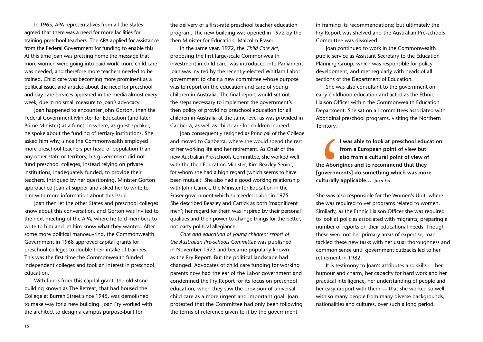In 1965, APA representatives from all the States agreed that there was a need for more facilities for training preschool teachers. The APA applied for assistance from the Federal Government for funding to enable this. At this time Joan was pressing home the message that more women were going into paid work, more child care was needed, and therefore more teachers needed to be trained. Child care was becoming more prominent as a political issue, and articles about the need for preschool and day care services appeared in the media almost every week, due in no small measure to Joan's advocacy.

Joan happened to encounter John Gorton, then the Federal Government Minister for Education (and later Prime Minister) at a function where, as guest speaker, he spoke about the funding of tertiary institutions. She asked him why, since the Commonwealth employed more preschool teachers per head of population than any other state or territory, his government did not fund preschool colleges, instead relying on private institutions, inadequately funded, to provide their teachers. Intrigued by her questioning, Minister Gorton approached Joan at supper and asked her to write to him with more information about this issue.

Joan then let the other States and preschool colleges know about this conversation, and Gorton was invited to the next meeting of the APA, where he told members to write to him and let him know what they wanted. After some more political manoeuvring, the Commonwealth Government in 1968 approved capital grants for preschool colleges to double their intake of trainees. This was the first time the Commonwealth funded independent colleges and took an interest in preschool education.

With funds from this capital grant, the old stone building known as The Retreat, that had housed the College at Burren Street since 1945, was demolished to make way for a new building. Joan Fry worked with the architect to design a campus purpose-built for

the delivery of a first-rate preschool teacher education program. The new building was opened in 1972 by the then Minister for Education, Malcolm Fraser.

In the same year, 1972, the *Child Care Act*, proposing the first large-scale Commonwealth investment in child care, was introduced into Parliament. Joan was invited by the recently-elected Whitlam Labor government to chair a new committee whose purpose was to report on the education and care of young children in Australia. The final report would set out the steps necessary to implement the government's then policy of providing preschool education for all children in Australia at the same level as was provided in Canberra, as well as child care for children in need.

Joan consequently resigned as Principal of the College and moved to Canberra, where she would spend the rest of her working life and her retirement. As Chair of the new Australian Pre-schools Committee, she worked well with the then Education Minister, Kim Beazley Senior, for whom she had a high regard (which seems to have been mutual). She also had a good working relationship with John Carrick, the Minister for Education in the Fraser government which succeeded Labor in 1975. She described Beazley and Carrick as both 'magnificent men'; her regard for them was inspired by their personal qualities and their power to change things for the better, not party political allegiance.

*Care and education of young children: report of the Australian Pre-schools Committee* was published in November 1973 and became popularly known as the Fry Report. But the political landscape had changed. Advocates of child care funding for working parents now had the ear of the Labor government and condemned the Fry Report for its focus on preschool education, when they saw the provision of universal child care as a more urgent and important goal. Joan protested that the Committee had only been following the terms of reference given to it by the government

in framing its recommendations; but ultimately the Fry Report was shelved and the Australian Pre-schools Committee was dissolved.

Joan continued to work in the Commonwealth public service as Assistant Secretary to the Education Planning Group, which was responsible for policy development, and met regularly with heads of all sections of the Department of Education.

She was also consultant to the government on early childhood education and acted as the Ethnic Liaison Officer within the Commonwealth Education Department. She sat on all committees associated with Aboriginal preschool programs, visiting the Northern Territory.

<sup>1</sup><br>
a<br>
the Aborig<br>
[governme<br>
culturally a<br>
She was als<br>
she was rec<br>
Similarly, as **I was able to look at preschool education from a European point of view but also from a cultural point of view of the Aborigines and to recommend that they [governments] do something which was more culturally applicable… Joan Fry**

She was also responsible for the Women's Unit, where she was required to vet programs related to women. Similarly, as the Ethnic Liaison Officer she was required to look at policies associated with migrants, preparing a number of reports on their educational needs. Though these were not her primary areas of expertise, Joan tackled these new tasks with her usual thoroughness and common sense until government cutbacks led to her retirement in 1982.

It is testimony to Joan's attributes and skills — her humour and charm, her capacity for hard work and her practical intelligence, her understanding of people and her easy rapport with them — that she worked so well with so many people from many diverse backgrounds, nationalities and cultures, over such a long period.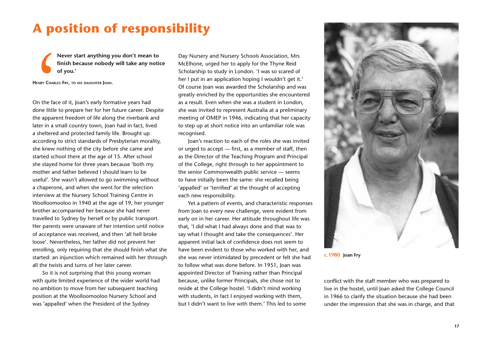## **A position of responsibility**

**Never start anything you don't mean to finish because nobody will take any notice of you.'**

**Henry Charles Fry, to his daughter Joan.**

<sup>1</sup><br>
If<br>
HENRY CHARLE<br>
On the face<br>
done little<br>
the appare<br>
later in a sm On the face of it, Joan's early formative years had done little to prepare her for her future career. Despite the apparent freedom of life along the riverbank and later in a small country town, Joan had in fact, lived a sheltered and protected family life. Brought up according to strict standards of Presbyterian morality, she knew nothing of the city before she came and started school there at the age of 15. After school she stayed home for three years because 'both my mother and father believed I should learn to be useful'. She wasn't allowed to go swimming without a chaperone, and when she went for the selection interview at the Nursery School Training Centre in Woolloomooloo in 1940 at the age of 19, her younger brother accompanied her because she had never travelled to Sydney by herself or by public transport. Her parents were unaware of her intention until notice of acceptance was received, and then 'all hell broke loose'. Nevertheless, her father did not prevent her enrolling, only requiring that she should finish what she started: an injunction which remained with her through all the twists and turns of her later career.

So it is not surprising that this young woman with quite limited experience of the wider world had no ambition to move from her subsequent teaching position at the Woolloomooloo Nursery School and was 'appalled' when the President of the Sydney

Day Nursery and Nursery Schools Association, Mrs McElhone, urged her to apply for the Thyne Reid Scholarship to study in London. 'I was so scared of her I put in an application hoping I wouldn't get it.' Of course Joan was awarded the Scholarship and was greatly enriched by the opportunities she encountered as a result. Even when she was a student in London, she was invited to represent Australia at a preliminary meeting of OMEP in 1946, indicating that her capacity to step up at short notice into an unfamiliar role was recognised.

Joan's reaction to each of the roles she was invited or urged to accept — first, as a member of staff, then as the Director of the Teaching Program and Principal of the College, right through to her appointment to the senior Commonwealth public service — seems to have initially been the same: she recalled being 'appalled' or 'terrified' at the thought of accepting each new responsibility.

Yet a pattern of events, and characteristic responses from Joan to every new challenge, were evident from early on in her career. Her attitude throughout life was that, 'I did what I had always done and that was to say what I thought and take the consequences'. Her apparent initial lack of confidence does not seem to have been evident to those who worked with her, and she was never intimidated by precedent or felt she had to follow what was done before. In 1951, Joan was appointed Director of Training rather than Principal because, unlike former Principals, she chose not to reside at the College hostel. 'I didn't mind working with students, in fact I enjoyed working with them, but I didn't want to live with them.' This led to some



**c.1980 Joan Fry**

conflict with the staff member who was prepared to live in the hostel, until Joan asked the College Council in 1966 to clarify the situation because she had been under the impression that she was in charge, and that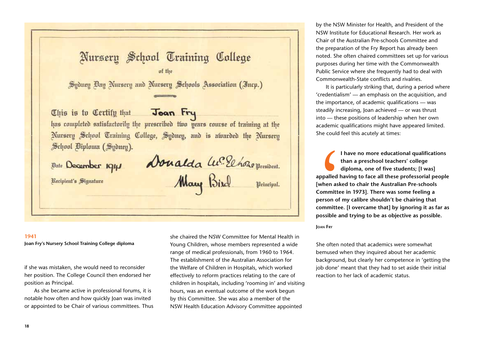Nursery School Training College of the Sydney Bay Nursery and Nursery Schools Association (Incp.) Joan Fry Chis is to Certify that has completed satisfactorily the prescribed two years course of training at the Nursery School Training College, Sydney, and is awarded the Nursery School Biploma (Sydney). Donalda W. El horo president.<br>Maug Bixal principal. *Bate* December 1941 Recipient's Signature

**Joan Fry's Nursery School Training College diploma**

if she was mistaken, she would need to reconsider her position. The College Council then endorsed her position as Principal.

As she became active in professional forums, it is notable how often and how quickly Joan was invited or appointed to be Chair of various committees. Thus she chaired the NSW Committee for Mental Health in Young Children, whose members represented a wide range of medical professionals, from 1960 to 1964. The establishment of the Australian Association for the Welfare of Children in Hospitals, which worked effectively to reform practices relating to the care of children in hospitals, including 'rooming in' and visiting hours, was an eventual outcome of the work begun by this Committee. She was also a member of the NSW Health Education Advisory Committee appointed

by the NSW Minister for Health, and President of the NSW Institute for Educational Research. Her work as Chair of the Australian Pre-schools Committee and the preparation of the Fry Report has already been noted. She often chaired committees set up for various purposes during her time with the Commonwealth Public Service where she frequently had to deal with Commonwealth-State conflicts and rivalries.

It is particularly striking that, during a period where 'credentialism' — an emphasis on the acquisition, and the importance, of academic qualifications — was steadily increasing, Joan achieved — or was thrust into — these positions of leadership when her own academic qualifications might have appeared limited. She could feel this acutely at times:

<sup>1</sup><br>
appalled h<br>
[when ask<br>
Committee<br>
person of |<br>
committee<br>
possible ar<br>
Joan Fry **I have no more educational qualifications than a preschool teachers' college diploma, one of five students; [I was] appalled having to face all these professorial people [when asked to chair the Australian Pre-schools Committee in 1973]. There was some feeling a person of my calibre shouldn't be chairing that committee. [I overcame that] by ignoring it as far as possible and trying to be as objective as possible.**

**Joan Fry**

She often noted that academics were somewhat bemused when they inquired about her academic background, but clearly her competence in 'getting the job done' meant that they had to set aside their initial reaction to her lack of academic status.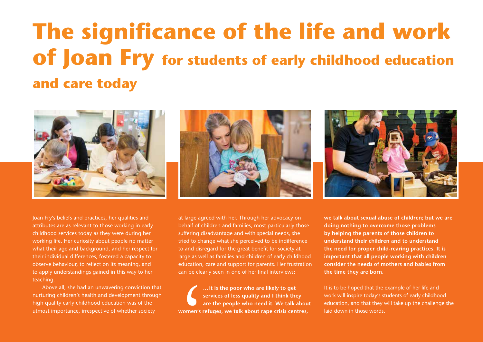## **The significance of the life and work of Joan Fry for students of early childhood education and care today**







Joan Fry's beliefs and practices, her qualities and attributes are as relevant to those working in early childhood services today as they were during her working life. Her curiosity about people no matter what their age and background, and her respect for their individual differences, fostered a capacity to observe behaviour, to reflect on its meaning, and to apply understandings gained in this way to her teaching.

Above all, she had an unwavering conviction that nurturing children's health and development through high quality early childhood education was of the utmost importance, irrespective of whether society

at large agreed with her. Through her advocacy on behalf of children and families, most particularly those suffering disadvantage and with special needs, she tried to change what she perceived to be indifference to and disregard for the great benefit for society at large as well as families and children of early childhood education, care and support for parents. Her frustration can be clearly seen in one of her final interviews:

 $\left(\begin{array}{c}\n\cdot & \cdot \\
\cdot & \cdot \\
\vdots & \vdots \\
\text{women's r}\n\end{array}\right)$ **… it is the poor who are likely to get services of less quality and I think they are the people who need it. We talk about women's refuges, we talk about rape crisis centres,** 

**we talk about sexual abuse of children; but we are doing nothing to overcome those problems by helping the parents of those children to understand their children and to understand the need for proper child-rearing practices. It is important that all people working with children consider the needs of mothers and babies from the time they are born.** 

It is to be hoped that the example of her life and work will inspire today's students of early childhood education, and that they will take up the challenge she laid down in those words.